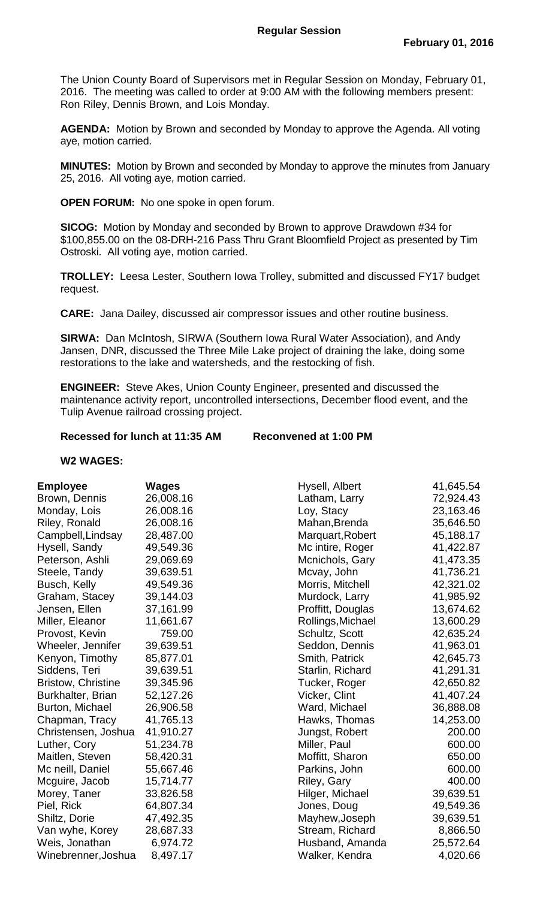The Union County Board of Supervisors met in Regular Session on Monday, February 01, 2016. The meeting was called to order at 9:00 AM with the following members present: Ron Riley, Dennis Brown, and Lois Monday.

**AGENDA:** Motion by Brown and seconded by Monday to approve the Agenda. All voting aye, motion carried.

**MINUTES:** Motion by Brown and seconded by Monday to approve the minutes from January 25, 2016. All voting aye, motion carried.

**OPEN FORUM:** No one spoke in open forum.

**SICOG:** Motion by Monday and seconded by Brown to approve Drawdown #34 for \$100,855.00 on the 08-DRH-216 Pass Thru Grant Bloomfield Project as presented by Tim Ostroski. All voting aye, motion carried.

**TROLLEY:** Leesa Lester, Southern Iowa Trolley, submitted and discussed FY17 budget request.

**CARE:** Jana Dailey, discussed air compressor issues and other routine business.

**SIRWA:** Dan McIntosh, SIRWA (Southern Iowa Rural Water Association), and Andy Jansen, DNR, discussed the Three Mile Lake project of draining the lake, doing some restorations to the lake and watersheds, and the restocking of fish.

**ENGINEER:** Steve Akes, Union County Engineer, presented and discussed the maintenance activity report, uncontrolled intersections, December flood event, and the Tulip Avenue railroad crossing project.

## **Recessed for lunch at 11:35 AM Reconvened at 1:00 PM**

## **W2 WAGES:**

| Employee                  | Wages     |
|---------------------------|-----------|
| Brown, Dennis             | 26,008.16 |
| Monday, Lois              | 26,008.16 |
| Riley, Ronald             | 26,008.16 |
| Campbell, Lindsay         | 28,487.00 |
| Hysell, Sandy             | 49,549.36 |
| Peterson, Ashli           | 29,069.69 |
| Steele, Tandy             | 39,639.51 |
| <b>Busch, Kelly</b>       | 49,549.36 |
| Graham, Stacey            | 39,144.03 |
| Jensen, Ellen             | 37,161.99 |
| Miller, Eleanor           | 11,661.67 |
| Provost, Kevin            | 759.00    |
| Wheeler, Jennifer         | 39,639.51 |
| Kenyon, Timothy           | 85,877.01 |
| Siddens, Teri             | 39,639.51 |
| <b>Bristow, Christine</b> | 39,345.96 |
| Burkhalter, Brian         | 52,127.26 |
| <b>Burton, Michael</b>    | 26,906.58 |
| Chapman, Tracy            | 41,765.13 |
| Christensen, Joshua       | 41,910.27 |
| Luther, Cory              | 51,234.78 |
| Maitlen, Steven           | 58,420.31 |
| Mc neill, Daniel          | 55,667.46 |
| Mcguire, Jacob            | 15,714.77 |
| Morey, Taner              | 33,826.58 |
| Piel, Rick                | 64,807.34 |
| Shiltz, Dorie             | 47,492.35 |
| Van wyhe, Korey           | 28,687.33 |
| Weis, Jonathan            | 6,974.72  |
| Winebrenner, Joshua       | 8,497.17  |

| <b>Employee</b>           | <b>Wages</b> | Hysell, Albert    | 41,645.54 |
|---------------------------|--------------|-------------------|-----------|
| Brown, Dennis             | 26,008.16    | Latham, Larry     | 72,924.43 |
| Monday, Lois              | 26,008.16    | Loy, Stacy        | 23,163.46 |
| Riley, Ronald             | 26,008.16    | Mahan, Brenda     | 35,646.50 |
| Campbell, Lindsay         | 28,487.00    | Marquart, Robert  | 45,188.17 |
| Hysell, Sandy             | 49,549.36    | Mc intire, Roger  | 41,422.87 |
| Peterson, Ashli           | 29,069.69    | Mcnichols, Gary   | 41,473.35 |
| Steele, Tandy             | 39,639.51    | Mcvay, John       | 41,736.21 |
| Busch, Kelly              | 49,549.36    | Morris, Mitchell  | 42,321.02 |
| Graham, Stacey            | 39,144.03    | Murdock, Larry    | 41,985.92 |
| Jensen, Ellen             | 37,161.99    | Proffitt, Douglas | 13,674.62 |
| Miller, Eleanor           | 11,661.67    | Rollings, Michael | 13,600.29 |
| Provost, Kevin            | 759.00       | Schultz, Scott    | 42,635.24 |
| Wheeler, Jennifer         | 39,639.51    | Seddon, Dennis    | 41,963.01 |
| Kenyon, Timothy           | 85,877.01    | Smith, Patrick    | 42,645.73 |
| Siddens, Teri             | 39,639.51    | Starlin, Richard  | 41,291.31 |
| <b>Bristow, Christine</b> | 39,345.96    | Tucker, Roger     | 42,650.82 |
| Burkhalter, Brian         | 52,127.26    | Vicker, Clint     | 41,407.24 |
| <b>Burton, Michael</b>    | 26,906.58    | Ward, Michael     | 36,888.08 |
| Chapman, Tracy            | 41,765.13    | Hawks, Thomas     | 14,253.00 |
| Christensen, Joshua       | 41,910.27    | Jungst, Robert    | 200.00    |
| Luther, Cory              | 51,234.78    | Miller, Paul      | 600.00    |
| Maitlen, Steven           | 58,420.31    | Moffitt, Sharon   | 650.00    |
| Mc neill, Daniel          | 55,667.46    | Parkins, John     | 600.00    |
| Mcguire, Jacob            | 15,714.77    | Riley, Gary       | 400.00    |
| Morey, Taner              | 33,826.58    | Hilger, Michael   | 39,639.51 |
| Piel, Rick                | 64,807.34    | Jones, Doug       | 49,549.36 |
| Shiltz, Dorie             | 47,492.35    | Mayhew, Joseph    | 39,639.51 |
| Van wyhe, Korey           | 28,687.33    | Stream, Richard   | 8,866.50  |
| Weis, Jonathan            | 6,974.72     | Husband, Amanda   | 25,572.64 |
| Winebrenner,Joshua        | 8,497.17     | Walker, Kendra    | 4,020.66  |
|                           |              |                   |           |